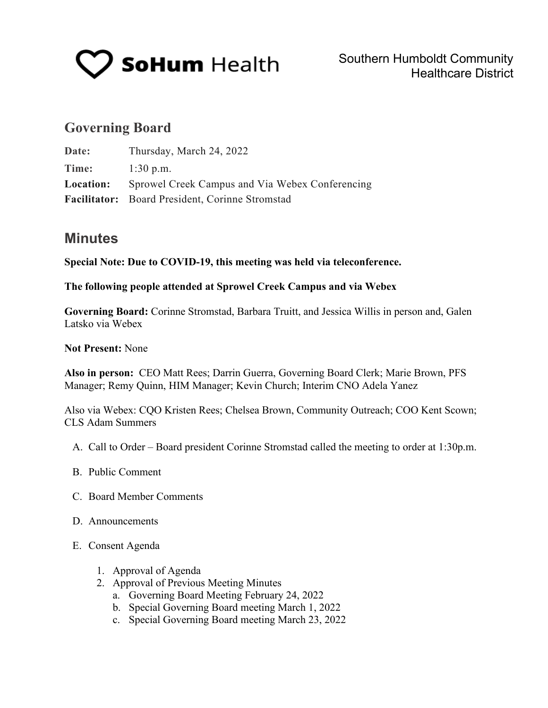

# **Governing Board**

| Date:            | Thursday, March 24, 2022                        |
|------------------|-------------------------------------------------|
| Time:            | $1:30$ p.m.                                     |
| <b>Location:</b> | Sprowel Creek Campus and Via Webex Conferencing |
|                  | Facilitator: Board President, Corinne Stromstad |

# **Minutes**

**Special Note: Due to COVID-19, this meeting was held via teleconference.**

### **The following people attended at Sprowel Creek Campus and via Webex**

**Governing Board:** Corinne Stromstad, Barbara Truitt, and Jessica Willis in person and, Galen Latsko via Webex

## **Not Present:** None

**Also in person:** CEO Matt Rees; Darrin Guerra, Governing Board Clerk; Marie Brown, PFS Manager; Remy Quinn, HIM Manager; Kevin Church; Interim CNO Adela Yanez

Also via Webex: CQO Kristen Rees; Chelsea Brown, Community Outreach; COO Kent Scown; CLS Adam Summers

- A. Call to Order Board president Corinne Stromstad called the meeting to order at 1:30p.m.
- B. Public Comment
- C. Board Member Comments
- D. Announcements
- E. Consent Agenda
	- 1. Approval of Agenda
	- 2. Approval of Previous Meeting Minutes
		- a. Governing Board Meeting February 24, 2022
		- b. Special Governing Board meeting March 1, 2022
		- c. Special Governing Board meeting March 23, 2022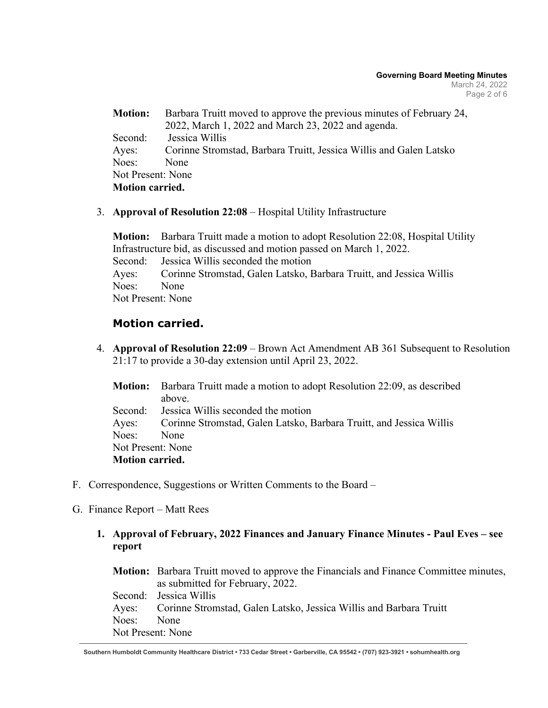| Barbara Truitt moved to approve the previous minutes of February 24,<br><b>Motion:</b> |                                                                    |  |  |
|----------------------------------------------------------------------------------------|--------------------------------------------------------------------|--|--|
|                                                                                        | 2022, March 1, 2022 and March 23, 2022 and agenda.                 |  |  |
| Second:                                                                                | Jessica Willis                                                     |  |  |
| Ayes:                                                                                  | Corinne Stromstad, Barbara Truitt, Jessica Willis and Galen Latsko |  |  |
| Noes:                                                                                  | None                                                               |  |  |
| Not Present: None                                                                      |                                                                    |  |  |
| <b>Motion carried.</b>                                                                 |                                                                    |  |  |

3. **Approval of Resolution 22:08** – Hospital Utility Infrastructure

**Motion:** Barbara Truitt made a motion to adopt Resolution 22:08, Hospital Utility Infrastructure bid, as discussed and motion passed on March 1, 2022. Second: Jessica Willis seconded the motion Ayes: Corinne Stromstad, Galen Latsko, Barbara Truitt, and Jessica Willis Noes: None Not Present: None

# **Motion carried.**

4. **Approval of Resolution 22:09** – Brown Act Amendment AB 361 Subsequent to Resolution 21:17 to provide a 30-day extension until April 23, 2022.

|                        | <b>Motion:</b> Barbara Truitt made a motion to adopt Resolution 22:09, as described |  |  |
|------------------------|-------------------------------------------------------------------------------------|--|--|
|                        | above.                                                                              |  |  |
|                        | Second: Jessica Willis seconded the motion                                          |  |  |
|                        | Ayes: Corinne Stromstad, Galen Latsko, Barbara Truitt, and Jessica Willis           |  |  |
| Noes: None             |                                                                                     |  |  |
| Not Present: None      |                                                                                     |  |  |
| <b>Motion carried.</b> |                                                                                     |  |  |

- F. Correspondence, Suggestions or Written Comments to the Board –
- G. Finance Report Matt Rees
	- **1. Approval of February, 2022 Finances and January Finance Minutes Paul Eves see report**

**Motion:** Barbara Truitt moved to approve the Financials and Finance Committee minutes, as submitted for February, 2022. Second: Jessica Willis Ayes: Corinne Stromstad, Galen Latsko, Jessica Willis and Barbara Truitt Noes: None Not Present: None

**Southern Humboldt Community Healthcare District • 733 Cedar Street • Garberville, CA 95542 • (707) 923-3921 • sohumhealth.org**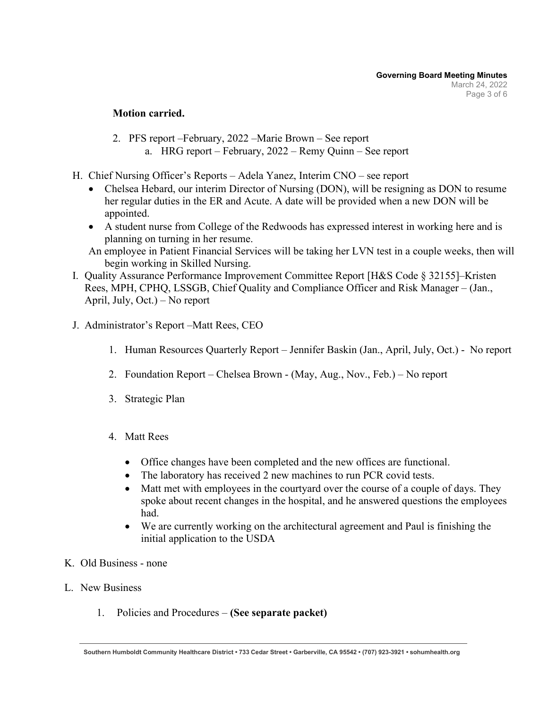## **Motion carried.**

- 2. PFS report –February, 2022 –Marie Brown See report a. HRG report – February, 2022 – Remy Quinn – See report
- H. Chief Nursing Officer's Reports Adela Yanez, Interim CNO see report
	- Chelsea Hebard, our interim Director of Nursing (DON), will be resigning as DON to resume her regular duties in the ER and Acute. A date will be provided when a new DON will be appointed.
	- A student nurse from College of the Redwoods has expressed interest in working here and is planning on turning in her resume.
	- An employee in Patient Financial Services will be taking her LVN test in a couple weeks, then will begin working in Skilled Nursing.
- I. Quality Assurance Performance Improvement Committee Report [H&S Code § 32155]–Kristen Rees, MPH, CPHQ, LSSGB, Chief Quality and Compliance Officer and Risk Manager – (Jan., April, July, Oct.) – No report
- J. Administrator's Report –Matt Rees, CEO
	- 1. Human Resources Quarterly Report Jennifer Baskin (Jan., April, July, Oct.) No report
	- 2. Foundation Report Chelsea Brown (May, Aug., Nov., Feb.) No report
	- 3. Strategic Plan
	- 4. Matt Rees
		- Office changes have been completed and the new offices are functional.
		- The laboratory has received 2 new machines to run PCR covid tests.
		- Matt met with employees in the courtyard over the course of a couple of days. They spoke about recent changes in the hospital, and he answered questions the employees had.
		- We are currently working on the architectural agreement and Paul is finishing the initial application to the USDA
- K. Old Business none
- L. New Business
	- 1. Policies and Procedures **(See separate packet)**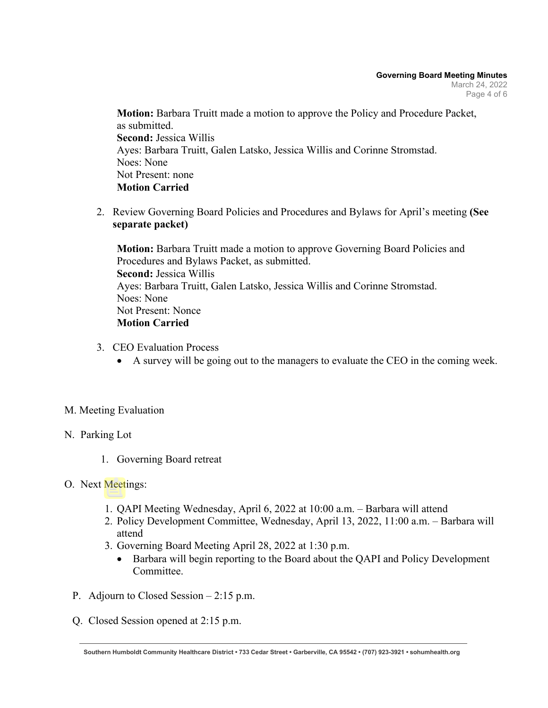**Motion:** Barbara Truitt made a motion to approve the Policy and Procedure Packet, as submitted. **Second:** Jessica Willis Ayes: Barbara Truitt, Galen Latsko, Jessica Willis and Corinne Stromstad. Noes: None Not Present: none **Motion Carried** 

2. Review Governing Board Policies and Procedures and Bylaws for April's meeting **(See separate packet)**

**Motion:** Barbara Truitt made a motion to approve Governing Board Policies and Procedures and Bylaws Packet, as submitted. **Second:** Jessica Willis Ayes: Barbara Truitt, Galen Latsko, Jessica Willis and Corinne Stromstad. Noes: None Not Present: Nonce **Motion Carried** 

- 3. CEO Evaluation Process
	- A survey will be going out to the managers to evaluate the CEO in the coming week.

# M. Meeting Evaluation

# N. Parking Lot

1. Governing Board retreat

# O. Next Meetings:

- 1. QAPI Meeting Wednesday, April 6, 2022 at 10:00 a.m. Barbara will attend
- 2. Policy Development Committee, Wednesday, April 13, 2022, 11:00 a.m. Barbara will attend
- 3. Governing Board Meeting April 28, 2022 at 1:30 p.m.
	- Barbara will begin reporting to the Board about the QAPI and Policy Development Committee.
- P. Adjourn to Closed Session 2:15 p.m.
- Q. Closed Session opened at 2:15 p.m.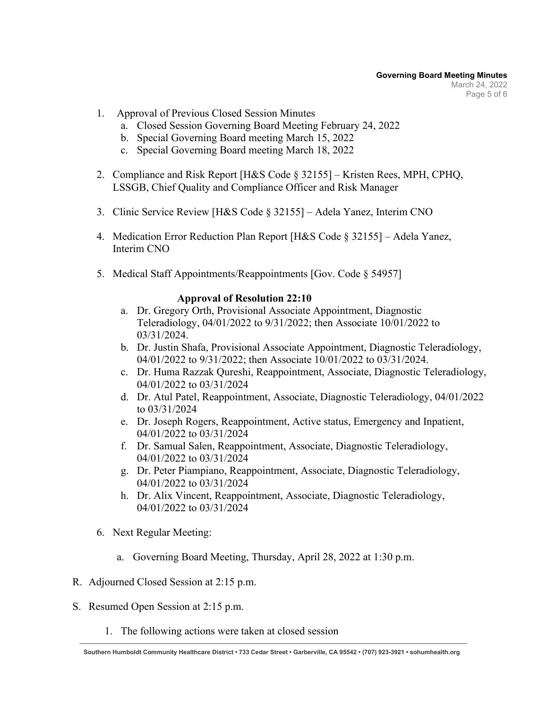- 1. Approval of Previous Closed Session Minutes
	- a. Closed Session Governing Board Meeting February 24, 2022
	- b. Special Governing Board meeting March 15, 2022
	- c. Special Governing Board meeting March 18, 2022
- 2. Compliance and Risk Report [H&S Code § 32155] Kristen Rees, MPH, CPHQ, LSSGB, Chief Quality and Compliance Officer and Risk Manager
- 3. Clinic Service Review [H&S Code § 32155] Adela Yanez, Interim CNO
- 4. Medication Error Reduction Plan Report [H&S Code § 32155] Adela Yanez, Interim CNO
- 5. Medical Staff Appointments/Reappointments [Gov. Code § 54957]

### **Approval of Resolution 22:10**

- a. Dr. Gregory Orth, Provisional Associate Appointment, Diagnostic Teleradiology, 04/01/2022 to 9/31/2022; then Associate 10/01/2022 to 03/31/2024.
- b. Dr. Justin Shafa, Provisional Associate Appointment, Diagnostic Teleradiology, 04/01/2022 to 9/31/2022; then Associate 10/01/2022 to 03/31/2024.
- c. Dr. Huma Razzak Qureshi, Reappointment, Associate, Diagnostic Teleradiology, 04/01/2022 to 03/31/2024
- d. Dr. Atul Patel, Reappointment, Associate, Diagnostic Teleradiology, 04/01/2022 to 03/31/2024
- e. Dr. Joseph Rogers, Reappointment, Active status, Emergency and Inpatient, 04/01/2022 to 03/31/2024
- f. Dr. Samual Salen, Reappointment, Associate, Diagnostic Teleradiology, 04/01/2022 to 03/31/2024
- g. Dr. Peter Piampiano, Reappointment, Associate, Diagnostic Teleradiology, 04/01/2022 to 03/31/2024
- h. Dr. Alix Vincent, Reappointment, Associate, Diagnostic Teleradiology, 04/01/2022 to 03/31/2024
- 6. Next Regular Meeting:
	- a. Governing Board Meeting, Thursday, April 28, 2022 at 1:30 p.m.
- R. Adjourned Closed Session at 2:15 p.m.
- S. Resumed Open Session at 2:15 p.m.
	- 1. The following actions were taken at closed session